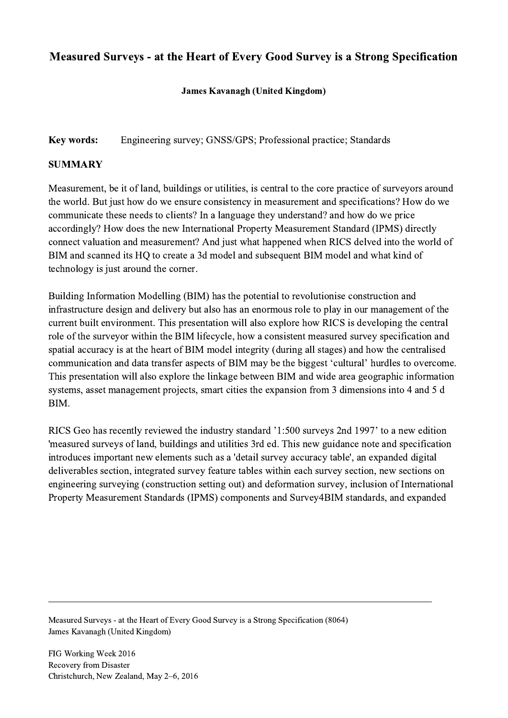## Measured Surveys - at the Heart of Every Good Survey is a Strong Specification

## James Kavanagh (United Kingdom)

Key words: Engineering survey; GNSS/GPS; Professional practice; Standards

## **SUMMARY**

Measurement, be it of land, buildings or utilities, is central to the core practice of surveyors around the world. But just how do we ensure consistency in measurement and specifications? How do we communicate these needs to clients? In a language they understand? and how do we price accordingly? How does the new International Property Measurement Standard (IPMS) directly connect valuation and measurement? And just what happened when RICS delved into the world of BIM and scanned its HQ to create a 3d model and subsequent BIM model and what kind of technology is just around the corner.

Building Information Modelling (BIM) has the potential to revolutionise construction and infrastructure design and delivery but also has an enormous role to play in our management of the current built environment. This presentation will also explore how RICS is developing the central role of the surveyor within the BIM lifecycle, how a consistent measured survey specification and spatial accuracy is at the heart of BIM model integrity (during all stages) and how the centralised communication and data transfer aspects of BIM may be the biggest 'cultural' hurdles to overcome. This presentation will also explore the linkage between BIM and wide area geographic information systems, asset management projects, smart cities the expansion from 3 dimensions into 4 and 5 d BIM.

RICS Geo has recently reviewed the industry standard '1:500 surveys 2nd 1997' to a new edition 'measured surveys of land, buildings and utilities 3rd ed. This new guidance note and specification introduces important new elements such as a 'detail survey accuracy table', an expanded digital deliverables section, integrated survey feature tables within each survey section, new sections on engineering surveying (construction setting out) and deformation survey, inclusion of International Property Measurement Standards (IPMS) components and Survey4BIM standards, and expanded

 $\mathcal{L}_\mathcal{L} = \{ \mathcal{L}_\mathcal{L} = \{ \mathcal{L}_\mathcal{L} = \{ \mathcal{L}_\mathcal{L} = \{ \mathcal{L}_\mathcal{L} = \{ \mathcal{L}_\mathcal{L} = \{ \mathcal{L}_\mathcal{L} = \{ \mathcal{L}_\mathcal{L} = \{ \mathcal{L}_\mathcal{L} = \{ \mathcal{L}_\mathcal{L} = \{ \mathcal{L}_\mathcal{L} = \{ \mathcal{L}_\mathcal{L} = \{ \mathcal{L}_\mathcal{L} = \{ \mathcal{L}_\mathcal{L} = \{ \mathcal{L}_\mathcal{$ 

Measured Surveys - at the Heart of Every Good Survey is a Strong Specification (8064) James Kavanagh (United Kingdom)

FIG Working Week 2016 Recovery from Disaster Christchurch, New Zealand, May 2–6, 2016